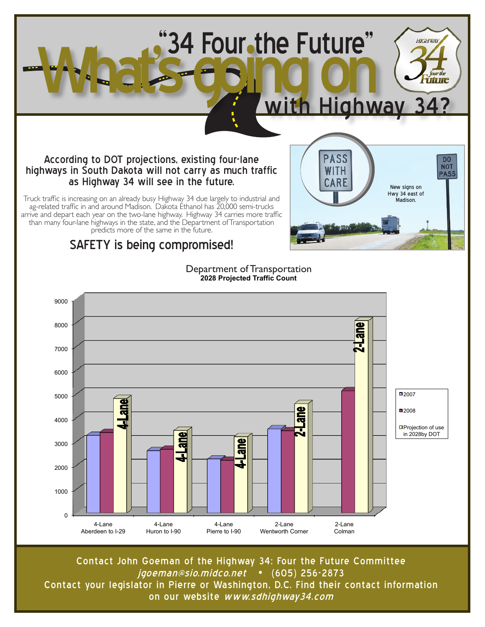

Truck traffic is increasing on an already busy Highway 34 due largely to industrial and ag-related traffic in and around Madison. Dakota Ethanol has 20,000 semi-trucks arrive and depart each year on the two-lane highway. Highway 34 carries more traffic than many four-lane highways in the state, and the Department of Transportation predicts more of the same in the future.

#### SAFETY is being compromised!



Contact John Goeman of the Highway 34: Four the Future Committee jgoeman@sio.midco.net • (605) 256-2873 Contact your legislator in Pierre or Washington, D.C. Find their contact information on our website www.sdhighway34.com

Department of Transportation **2028 Projected Traffic Count** 

Madison.